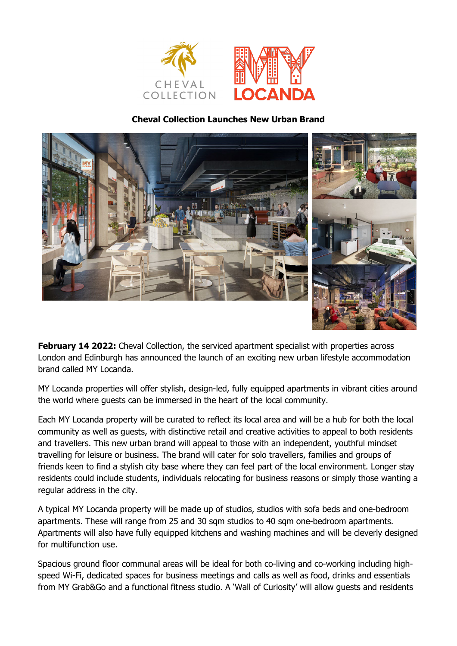

# **Cheval Collection Launches New Urban Brand**



**February 14 2022:** Cheval Collection, the serviced apartment specialist with properties across London and Edinburgh has announced the launch of an exciting new urban lifestyle accommodation brand called MY Locanda.

MY Locanda properties will offer stylish, design-led, fully equipped apartments in vibrant cities around the world where guests can be immersed in the heart of the local community.

Each MY Locanda property will be curated to reflect its local area and will be a hub for both the local community as well as guests, with distinctive retail and creative activities to appeal to both residents and travellers. This new urban brand will appeal to those with an independent, youthful mindset travelling for leisure or business. The brand will cater for solo travellers, families and groups of friends keen to find a stylish city base where they can feel part of the local environment. Longer stay residents could include students, individuals relocating for business reasons or simply those wanting a regular address in the city.

A typical MY Locanda property will be made up of studios, studios with sofa beds and one-bedroom apartments. These will range from 25 and 30 sqm studios to 40 sqm one-bedroom apartments. Apartments will also have fully equipped kitchens and washing machines and will be cleverly designed for multifunction use.

Spacious ground floor communal areas will be ideal for both co-living and co-working including highspeed Wi-Fi, dedicated spaces for business meetings and calls as well as food, drinks and essentials from MY Grab&Go and a functional fitness studio. A 'Wall of Curiosity' will allow guests and residents